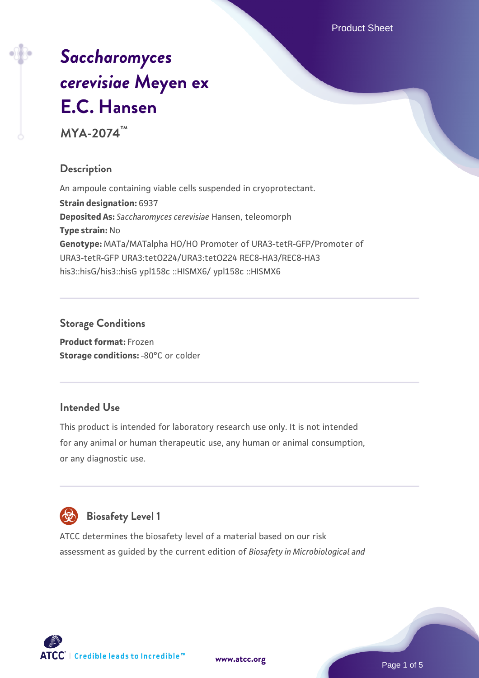Product Sheet

# *[Saccharomyces](https://www.atcc.org/products/mya-2074) [cerevisiae](https://www.atcc.org/products/mya-2074)* **[Meyen ex](https://www.atcc.org/products/mya-2074) [E.C. Hansen](https://www.atcc.org/products/mya-2074)**

**MYA-2074™**

# **Description**

An ampoule containing viable cells suspended in cryoprotectant. **Strain designation:** 6937 **Deposited As:** *Saccharomyces cerevisiae* Hansen, teleomorph **Type strain:** No **Genotype:** MATa/MATalpha HO/HO Promoter of URA3-tetR-GFP/Promoter of URA3-tetR-GFP URA3:tetO224/URA3:tetO224 REC8-HA3/REC8-HA3 his3::hisG/his3::hisG ypl158c ::HISMX6/ ypl158c ::HISMX6

## **Storage Conditions**

**Product format:** Frozen **Storage conditions: -80°C or colder** 

## **Intended Use**

This product is intended for laboratory research use only. It is not intended for any animal or human therapeutic use, any human or animal consumption, or any diagnostic use.



# **Biosafety Level 1**

ATCC determines the biosafety level of a material based on our risk assessment as guided by the current edition of *Biosafety in Microbiological and*

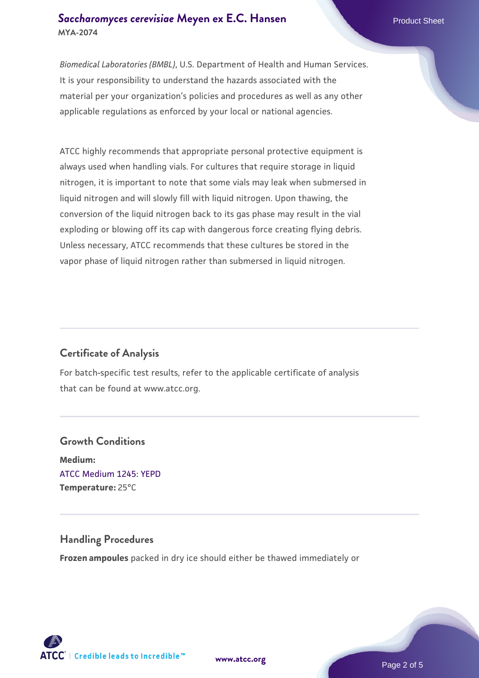#### **[Saccharomyces cerevisiae](https://www.atcc.org/products/mya-2074)** [Meyen ex E.C. Hansen](https://www.atcc.org/products/mya-2074) **MYA-2074**

*Biomedical Laboratories (BMBL)*, U.S. Department of Health and Human Services. It is your responsibility to understand the hazards associated with the material per your organization's policies and procedures as well as any other applicable regulations as enforced by your local or national agencies.

ATCC highly recommends that appropriate personal protective equipment is always used when handling vials. For cultures that require storage in liquid nitrogen, it is important to note that some vials may leak when submersed in liquid nitrogen and will slowly fill with liquid nitrogen. Upon thawing, the conversion of the liquid nitrogen back to its gas phase may result in the vial exploding or blowing off its cap with dangerous force creating flying debris. Unless necessary, ATCC recommends that these cultures be stored in the vapor phase of liquid nitrogen rather than submersed in liquid nitrogen.

## **Certificate of Analysis**

For batch-specific test results, refer to the applicable certificate of analysis that can be found at www.atcc.org.

# **Growth Conditions Medium:**  [ATCC Medium 1245: YEPD](https://www.atcc.org/-/media/product-assets/documents/microbial-media-formulations/1/2/4/5/atcc-medium-1245.pdf?rev=705ca55d1b6f490a808a965d5c072196) **Temperature:** 25°C

#### **Handling Procedures**

**Frozen ampoules** packed in dry ice should either be thawed immediately or

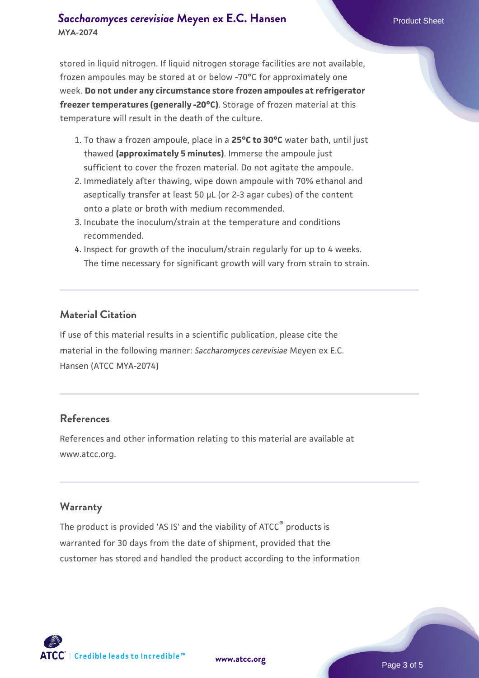#### **[Saccharomyces cerevisiae](https://www.atcc.org/products/mya-2074)** [Meyen ex E.C. Hansen](https://www.atcc.org/products/mya-2074) **MYA-2074**

stored in liquid nitrogen. If liquid nitrogen storage facilities are not available, frozen ampoules may be stored at or below -70°C for approximately one week. **Do not under any circumstance store frozen ampoules at refrigerator freezer temperatures (generally -20°C)**. Storage of frozen material at this temperature will result in the death of the culture.

- 1. To thaw a frozen ampoule, place in a **25°C to 30°C** water bath, until just thawed **(approximately 5 minutes)**. Immerse the ampoule just sufficient to cover the frozen material. Do not agitate the ampoule.
- 2. Immediately after thawing, wipe down ampoule with 70% ethanol and aseptically transfer at least 50 µL (or 2-3 agar cubes) of the content onto a plate or broth with medium recommended.
- 3. Incubate the inoculum/strain at the temperature and conditions recommended.
- 4. Inspect for growth of the inoculum/strain regularly for up to 4 weeks. The time necessary for significant growth will vary from strain to strain.

#### **Material Citation**

If use of this material results in a scientific publication, please cite the material in the following manner: *Saccharomyces cerevisiae* Meyen ex E.C. Hansen (ATCC MYA-2074)

#### **References**

References and other information relating to this material are available at www.atcc.org.

#### **Warranty**

The product is provided 'AS IS' and the viability of ATCC® products is warranted for 30 days from the date of shipment, provided that the customer has stored and handled the product according to the information

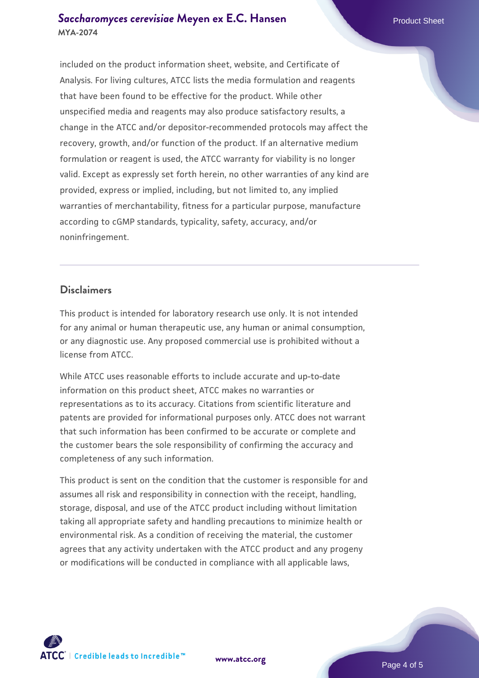#### **[Saccharomyces cerevisiae](https://www.atcc.org/products/mya-2074)** [Meyen ex E.C. Hansen](https://www.atcc.org/products/mya-2074) **MYA-2074**

included on the product information sheet, website, and Certificate of Analysis. For living cultures, ATCC lists the media formulation and reagents that have been found to be effective for the product. While other unspecified media and reagents may also produce satisfactory results, a change in the ATCC and/or depositor-recommended protocols may affect the recovery, growth, and/or function of the product. If an alternative medium formulation or reagent is used, the ATCC warranty for viability is no longer valid. Except as expressly set forth herein, no other warranties of any kind are provided, express or implied, including, but not limited to, any implied warranties of merchantability, fitness for a particular purpose, manufacture according to cGMP standards, typicality, safety, accuracy, and/or noninfringement.

#### **Disclaimers**

This product is intended for laboratory research use only. It is not intended for any animal or human therapeutic use, any human or animal consumption, or any diagnostic use. Any proposed commercial use is prohibited without a license from ATCC.

While ATCC uses reasonable efforts to include accurate and up-to-date information on this product sheet, ATCC makes no warranties or representations as to its accuracy. Citations from scientific literature and patents are provided for informational purposes only. ATCC does not warrant that such information has been confirmed to be accurate or complete and the customer bears the sole responsibility of confirming the accuracy and completeness of any such information.

This product is sent on the condition that the customer is responsible for and assumes all risk and responsibility in connection with the receipt, handling, storage, disposal, and use of the ATCC product including without limitation taking all appropriate safety and handling precautions to minimize health or environmental risk. As a condition of receiving the material, the customer agrees that any activity undertaken with the ATCC product and any progeny or modifications will be conducted in compliance with all applicable laws,

**[www.atcc.org](http://www.atcc.org)**

Page 4 of 5